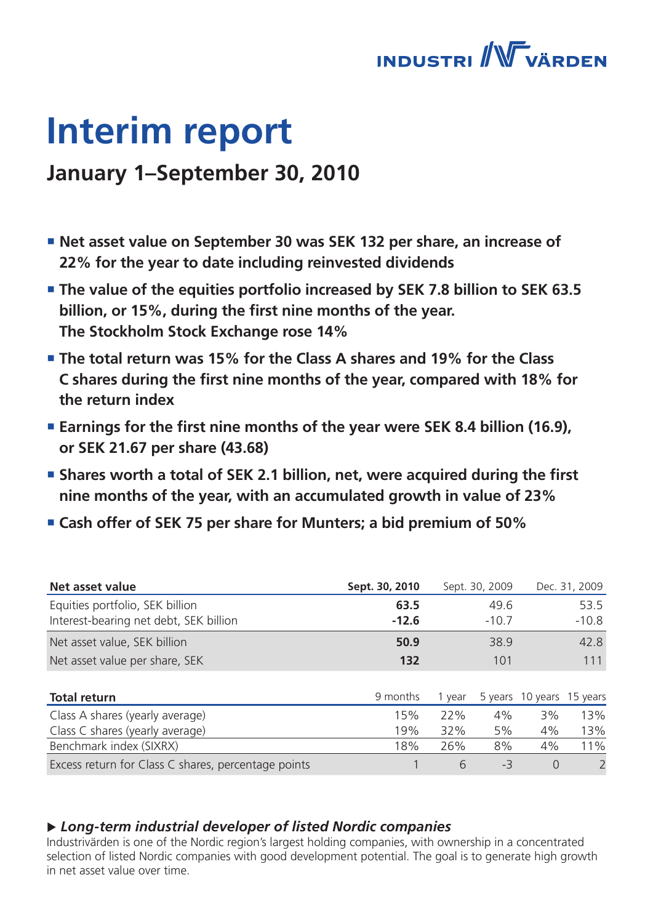

# **Interim report**

### **January 1–September 30, 2010**

- **Net asset value on September 30 was SEK 132 per share, an increase of 22% for the year to date including reinvested dividends**
- **The value of the equities portfolio increased by SEK 7.8 billion to SEK 63.5 billion, or 15%, during the first nine months of the year. The Stockholm Stock Exchange rose 14%**
- **The total return was 15% for the Class A shares and 19% for the Class C shares during the first nine months of the year, compared with 18% for the return index**
- Earnings for the first nine months of the year were SEK 8.4 billion (16.9), **or SEK 21.67 per share (43.68)**
- **Shares worth a total of SEK 2.1 billion, net, were acquired during the first nine months of the year, with an accumulated growth in value of 23%**
- **Cash offer of SEK 75 per share for Munters; a bid premium of 50%**

| Net asset value                                     | Sept. 30, 2010 |        | Sept. 30, 2009 |                           | Dec. 31, 2009 |
|-----------------------------------------------------|----------------|--------|----------------|---------------------------|---------------|
| Equities portfolio, SEK billion                     | 63.5           |        | 49.6           |                           | 53.5          |
| Interest-bearing net debt, SEK billion              | $-12.6$        |        | $-10.7$        |                           | $-10.8$       |
| Net asset value, SEK billion                        | 50.9           |        | 38.9           |                           | 42.8          |
| Net asset value per share, SEK                      | 132            |        | 101            |                           | 111           |
|                                                     |                |        |                |                           |               |
| <b>Total return</b>                                 | 9 months       | 1 year |                | 5 years 10 years 15 years |               |
| Class A shares (yearly average)                     | 15%            | 22%    | 4%             | 3%                        | 13%           |
| Class C shares (yearly average)                     | 19%            | 32%    | 5%             | 4%                        | 13%           |
| Benchmark index (SIXRX)                             | 18%            | 26%    | 8%             | 4%                        | 11%           |
| Excess return for Class C shares, percentage points |                | 6      | -3             | $\Omega$                  | 2             |

### u *Long-term industrial developer of listed Nordic companies*

Industrivärden is one of the Nordic region's largest holding companies, with ownership in a concentrated selection of listed Nordic companies with good development potential. The goal is to generate high growth in net asset value over time.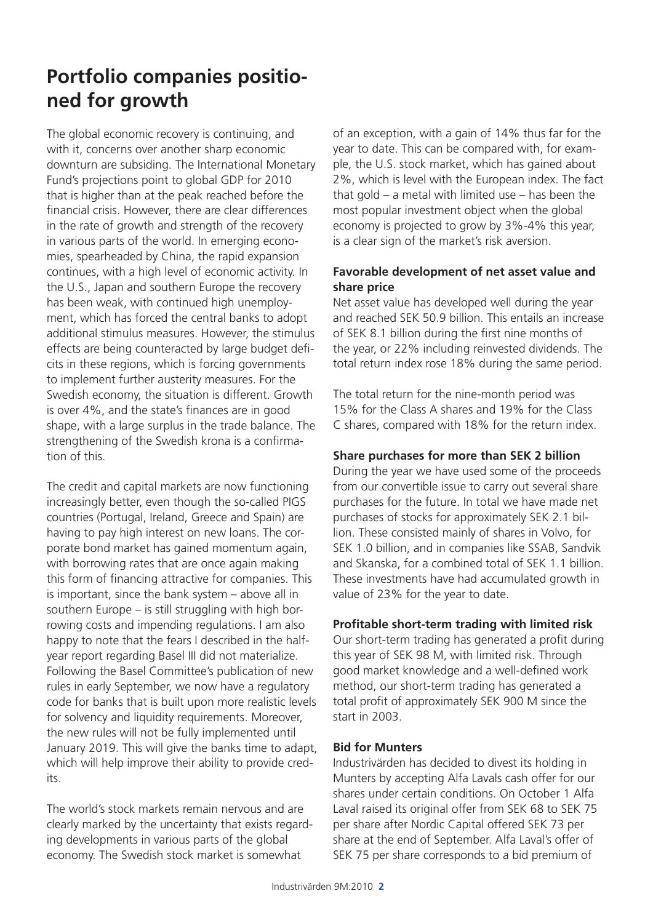### **Portfolio companies positioned for growth**

The global economic recovery is continuing, and with it, concerns over another sharp economic downturn are subsiding. The International Monetary Fund's projections point to global GDP for 2010 that is higher than at the peak reached before the financial crisis. However, there are clear differences in the rate of growth and strength of the recovery in various parts of the world. In emerging economies, spearheaded by China, the rapid expansion continues, with a high level of economic activity. In the U.S., Japan and southern Europe the recovery has been weak, with continued high unemployment, which has forced the central banks to adopt additional stimulus measures. However, the stimulus effects are being counteracted by large budget deficits in these regions, which is forcing governments to implement further austerity measures. For the Swedish economy, the situation is different. Growth is over 4%, and the state's finances are in good shape, with a large surplus in the trade balance. The strengthening of the Swedish krona is a confirmation of this.

The credit and capital markets are now functioning increasingly better, even though the so-called PIGS countries (Portugal, Ireland, Greece and Spain) are having to pay high interest on new loans. The corporate bond market has gained momentum again, with borrowing rates that are once again making this form of financing attractive for companies. This is important, since the bank system – above all in southern Europe – is still struggling with high borrowing costs and impending regulations. I am also happy to note that the fears I described in the halfyear report regarding Basel III did not materialize. Following the Basel Committee's publication of new rules in early September, we now have a regulatory code for banks that is built upon more realistic levels for solvency and liquidity requirements. Moreover, the new rules will not be fully implemented until January 2019. This will give the banks time to adapt, which will help improve their ability to provide credits.

The world's stock markets remain nervous and are clearly marked by the uncertainty that exists regarding developments in various parts of the global economy. The Swedish stock market is somewhat

of an exception, with a gain of 14% thus far for the year to date. This can be compared with, for example, the U.S. stock market, which has gained about 2%, which is level with the European index. The fact that gold – a metal with limited use – has been the most popular investment object when the global economy is projected to grow by 3%-4% this year, is a clear sign of the market's risk aversion.

### **Favorable development of net asset value and share price**

Net asset value has developed well during the year and reached SEK 50.9 billion. This entails an increase of SEK 8.1 billion during the first nine months of the year, or 22% including reinvested dividends. The total return index rose 18% during the same period.

The total return for the nine-month period was 15% for the Class A shares and 19% for the Class C shares, compared with 18% for the return index.

### **Share purchases for more than SEK 2 billion**

During the year we have used some of the proceeds from our convertible issue to carry out several share purchases for the future. In total we have made net purchases of stocks for approximately SEK 2.1 billion. These consisted mainly of shares in Volvo, for SEK 1.0 billion, and in companies like SSAB, Sandvik and Skanska, for a combined total of SEK 1.1 billion. These investments have had accumulated growth in value of 23% for the year to date.

### **Profitable short-term trading with limited risk**

Our short-term trading has generated a profit during this year of SEK 98 M, with limited risk. Through good market knowledge and a well-defined work method, our short-term trading has generated a total profit of approximately SEK 900 M since the start in 2003.

### **Bid for Munters**

Industrivärden has decided to divest its holding in Munters by accepting Alfa Lavals cash offer for our shares under certain conditions. On October 1 Alfa Laval raised its original offer from SEK 68 to SEK 75 per share after Nordic Capital offered SEK 73 per share at the end of September. Alfa Laval's offer of SEK 75 per share corresponds to a bid premium of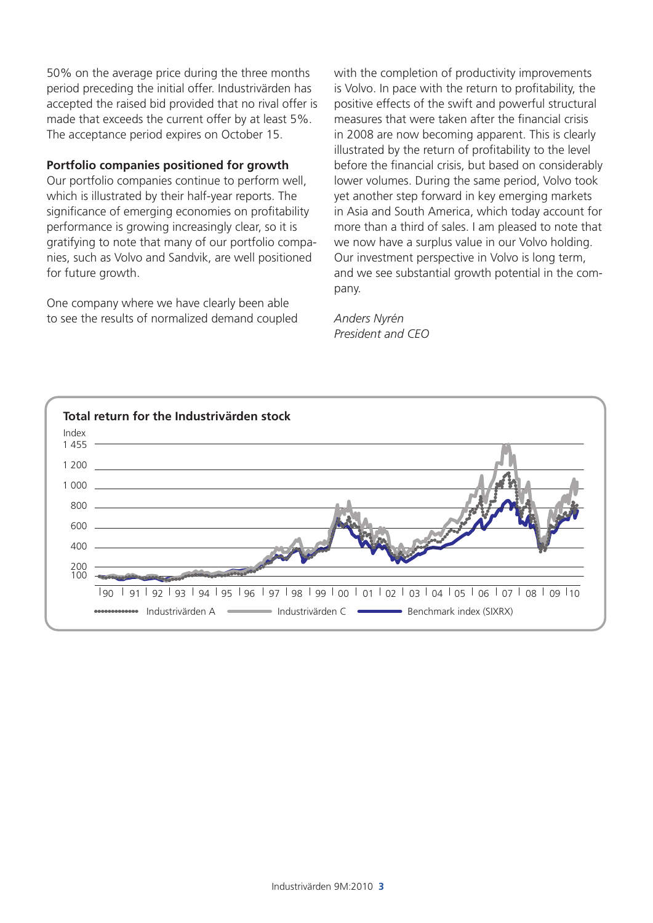50% on the average price during the three months period preceding the initial offer. Industrivärden has accepted the raised bid provided that no rival offer is made that exceeds the current offer by at least 5%. The acceptance period expires on October 15.

### **Portfolio companies positioned for growth**

Our portfolio companies continue to perform well, which is illustrated by their half-year reports. The significance of emerging economies on profitability performance is growing increasingly clear, so it is gratifying to note that many of our portfolio companies, such as Volvo and Sandvik, are well positioned for future growth.

One company where we have clearly been able to see the results of normalized demand coupled with the completion of productivity improvements is Volvo. In pace with the return to profitability, the positive effects of the swift and powerful structural measures that were taken after the financial crisis in 2008 are now becoming apparent. This is clearly illustrated by the return of profitability to the level before the financial crisis, but based on considerably lower volumes. During the same period, Volvo took yet another step forward in key emerging markets in Asia and South America, which today account for more than a third of sales. I am pleased to note that we now have a surplus value in our Volvo holding. Our investment perspective in Volvo is long term, and we see substantial growth potential in the company.

*Anders Nyrén President and CEO*

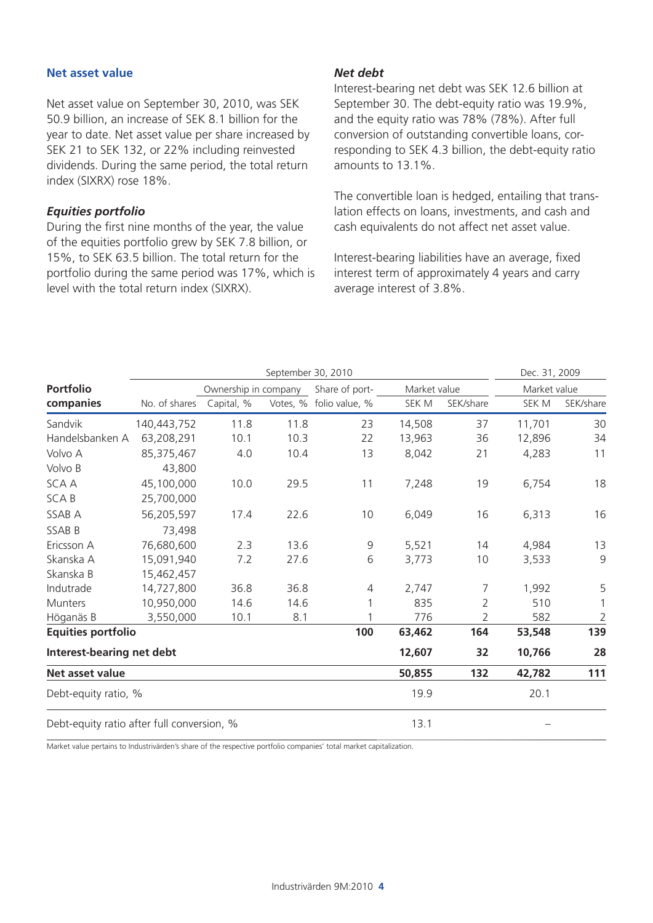#### **Net asset value**

Net asset value on September 30, 2010, was SEK 50.9 billion, an increase of SEK 8.1 billion for the year to date. Net asset value per share increased by SEK 21 to SEK 132, or 22% including reinvested dividends. During the same period, the total return index (SIXRX) rose 18%.

### *Equities portfolio*

During the first nine months of the year, the value of the equities portfolio grew by SEK 7.8 billion, or 15%, to SEK 63.5 billion. The total return for the portfolio during the same period was 17%, which is level with the total return index (SIXRX).

#### *Net debt*

Interest-bearing net debt was SEK 12.6 billion at September 30. The debt-equity ratio was 19.9%, and the equity ratio was 78% (78%). After full conversion of outstanding convertible loans, corresponding to SEK 4.3 billion, the debt-equity ratio amounts to 13.1%.

The convertible loan is hedged, entailing that translation effects on loans, investments, and cash and cash equivalents do not affect net asset value.

Interest-bearing liabilities have an average, fixed interest term of approximately 4 years and carry average interest of 3.8%.

|                                            |                      | September 30, 2010 |                |                         |        | Dec. 31, 2009 |        |              |
|--------------------------------------------|----------------------|--------------------|----------------|-------------------------|--------|---------------|--------|--------------|
| <b>Portfolio</b>                           | Ownership in company |                    | Share of port- | Market value            |        | Market value  |        |              |
| companies                                  | No. of shares        | Capital, %         |                | Votes, % folio value, % | SEK M  | SEK/share     | SEK M  | SEK/share    |
| Sandvik                                    | 140,443,752          | 11.8               | 11.8           | 23                      | 14,508 | 37            | 11,701 | 30           |
| Handelsbanken A                            | 63,208,291           | 10.1               | 10.3           | 22                      | 13,963 | 36            | 12,896 | 34           |
| Volvo A                                    | 85,375,467           | 4.0                | 10.4           | 13                      | 8,042  | 21            | 4,283  | 11           |
| Volvo B                                    | 43,800               |                    |                |                         |        |               |        |              |
| <b>SCAA</b>                                | 45,100,000           | 10.0               | 29.5           | 11                      | 7,248  | 19            | 6,754  | 18           |
| <b>SCAB</b>                                | 25,700,000           |                    |                |                         |        |               |        |              |
| SSAB A                                     | 56,205,597           | 17.4               | 22.6           | 10                      | 6,049  | 16            | 6,313  | 16           |
| SSAB B                                     | 73,498               |                    |                |                         |        |               |        |              |
| Ericsson A                                 | 76,680,600           | 2.3                | 13.6           | 9                       | 5,521  | 14            | 4,984  | 13           |
| Skanska A                                  | 15,091,940           | 7.2                | 27.6           | 6                       | 3,773  | 10            | 3,533  | $\mathsf 9$  |
| Skanska B                                  | 15,462,457           |                    |                |                         |        |               |        |              |
| Indutrade                                  | 14,727,800           | 36.8               | 36.8           | 4                       | 2,747  | 7             | 1,992  | 5            |
| Munters                                    | 10,950,000           | 14.6               | 14.6           |                         | 835    | 2             | 510    | $\mathbf{1}$ |
| Höganäs B                                  | 3,550,000            | 10.1               | 8.1            |                         | 776    | 2             | 582    | $\sqrt{2}$   |
| <b>Equities portfolio</b>                  |                      |                    |                | 100                     | 63,462 | 164           | 53,548 | 139          |
| Interest-bearing net debt                  |                      |                    |                |                         | 12,607 | 32            | 10,766 | 28           |
| Net asset value                            |                      |                    |                |                         | 50,855 | 132           | 42,782 | 111          |
| Debt-equity ratio, %                       |                      |                    |                |                         | 19.9   |               | 20.1   |              |
| Debt-equity ratio after full conversion, % |                      |                    |                |                         | 13.1   |               |        |              |

Market value pertains to Industrivärden's share of the respective portfolio companies' total market capitalization.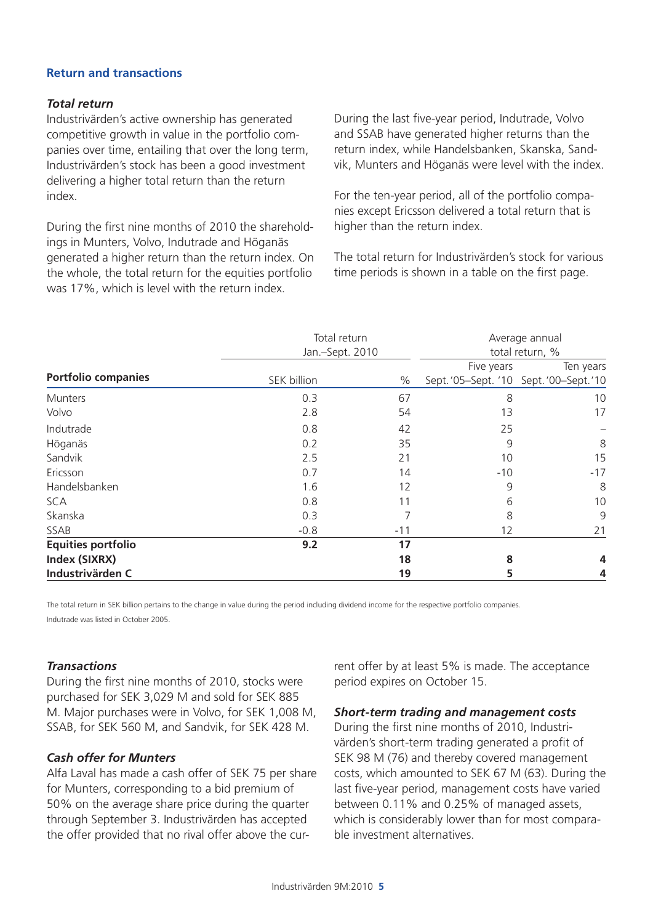### **Return and transactions**

### *Total return*

Industrivärden's active ownership has generated competitive growth in value in the portfolio companies over time, entailing that over the long term, Industrivärden's stock has been a good investment delivering a higher total return than the return index.

During the first nine months of 2010 the shareholdings in Munters, Volvo, Indutrade and Höganäs generated a higher return than the return index. On the whole, the total return for the equities portfolio was 17%, which is level with the return index.

During the last five-year period, Indutrade, Volvo and SSAB have generated higher returns than the return index, while Handelsbanken, Skanska, Sandvik, Munters and Höganäs were level with the index.

For the ten-year period, all of the portfolio companies except Ericsson delivered a total return that is higher than the return index.

The total return for Industrivärden's stock for various time periods is shown in a table on the first page.

|                            | Total return    | Average annual<br>total return, % |                                     |           |
|----------------------------|-----------------|-----------------------------------|-------------------------------------|-----------|
|                            | Jan.-Sept. 2010 |                                   |                                     |           |
|                            |                 |                                   | Five years                          | Ten years |
| <b>Portfolio companies</b> | SEK billion     | $\%$                              | Sept.'05-Sept.'10 Sept.'00-Sept.'10 |           |
| Munters                    | 0.3             | 67                                | 8                                   | 10        |
| Volvo                      | 2.8             | 54                                | 13                                  | 17        |
| Indutrade                  | 0.8             | 42                                | 25                                  |           |
| Höganäs                    | 0.2             | 35                                | 9                                   | 8         |
| Sandvik                    | 2.5             | 21                                | 10                                  | 15        |
| Ericsson                   | 0.7             | 14                                | $-10$                               | $-17$     |
| Handelsbanken              | 1.6             | 12                                | 9                                   | 8         |
| <b>SCA</b>                 | 0.8             |                                   | 6                                   | 10        |
| Skanska                    | 0.3             |                                   | 8                                   | 9         |
| SSAB                       | $-0.8$          | $-11$                             | 12                                  | 21        |
| <b>Equities portfolio</b>  | 9.2             | 17                                |                                     |           |
| Index (SIXRX)              |                 | 18                                | 8                                   |           |
| Industrivärden C           |                 | 19                                | 5                                   |           |

The total return in SEK billion pertains to the change in value during the period including dividend income for the respective portfolio companies. Indutrade was listed in October 2005.

### *Transactions*

During the first nine months of 2010, stocks were purchased for SEK 3,029 M and sold for SEK 885 M. Major purchases were in Volvo, for SEK 1,008 M, SSAB, for SEK 560 M, and Sandvik, for SEK 428 M.

### *Cash offer for Munters*

Alfa Laval has made a cash offer of SEK 75 per share for Munters, corresponding to a bid premium of 50% on the average share price during the quarter through September 3. Industrivärden has accepted the offer provided that no rival offer above the current offer by at least 5% is made. The acceptance period expires on October 15.

### *Short-term trading and management costs*

During the first nine months of 2010, Industrivärden's short-term trading generated a profit of SEK 98 M (76) and thereby covered management costs, which amounted to SEK 67 M (63). During the last five-year period, management costs have varied between 0.11% and 0.25% of managed assets, which is considerably lower than for most comparable investment alternatives.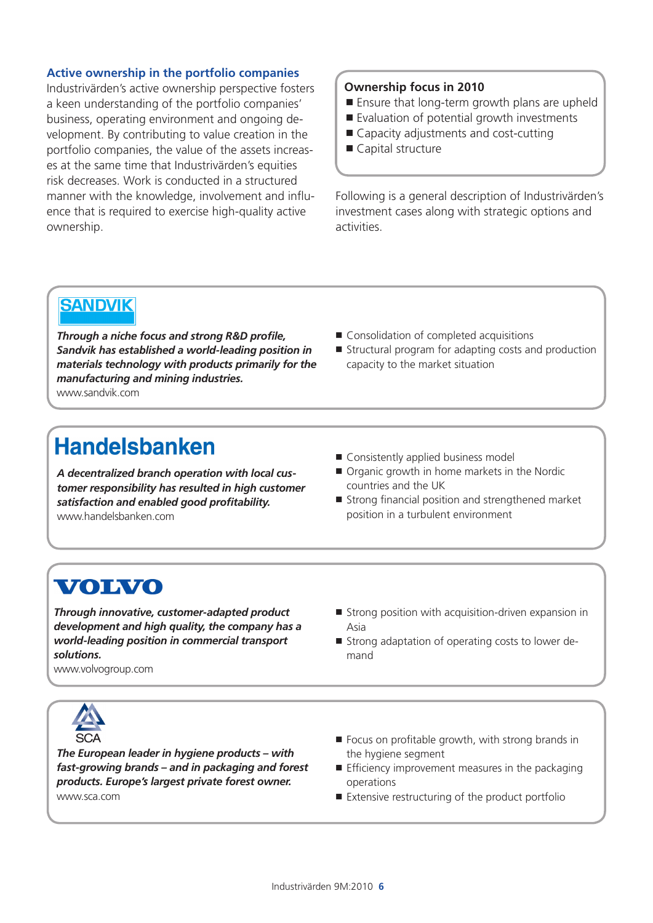### **Active ownership in the portfolio companies**

Industrivärden's active ownership perspective fosters a keen understanding of the portfolio companies' business, operating environment and ongoing development. By contributing to value creation in the portfolio companies, the value of the assets increases at the same time that Industrivärden's equities risk decreases. Work is conducted in a structured manner with the knowledge, involvement and influence that is required to exercise high-quality active ownership.

### **Ownership focus in 2010**

- Ensure that long-term growth plans are upheld
- Evaluation of potential growth investments
- Capacity adjustments and cost-cutting
- Capital structure

Following is a general description of Industrivärden's investment cases along with strategic options and activities.

### **SANDVIK**

*Through a niche focus and strong R&D profile, Sandvik has established a world-leading position in materials technology with products primarily for the manufacturing and mining industries.* www.sandvik.com

- Consolidation of completed acquisitions
- $\blacksquare$  Structural program for adapting costs and production capacity to the market situation

### **Handelsbanken**

*A decentralized branch operation with local customer responsibility has resulted in high customer satisfaction and enabled good profitability.* www.handelsbanken.com

- Consistently applied business model
- Organic growth in home markets in the Nordic countries and the UK
- Strong financial position and strengthened market position in a turbulent environment

### **VOLVO**

*Through innovative, customer-adapted product development and high quality, the company has a world-leading position in commercial transport solutions.*  www.volvogroup.com

- $\blacksquare$  Strong position with acquisition-driven expansion in Asia
- **Strong adaptation of operating costs to lower de**mand





*The European leader in hygiene products – with fast-growing brands – and in packaging and forest products. Europe's largest private forest owner.* www.sca.com

- $\blacksquare$  Focus on profitable growth, with strong brands in the hygiene segment
- $\blacksquare$  Efficiency improvement measures in the packaging operations
- Extensive restructuring of the product portfolio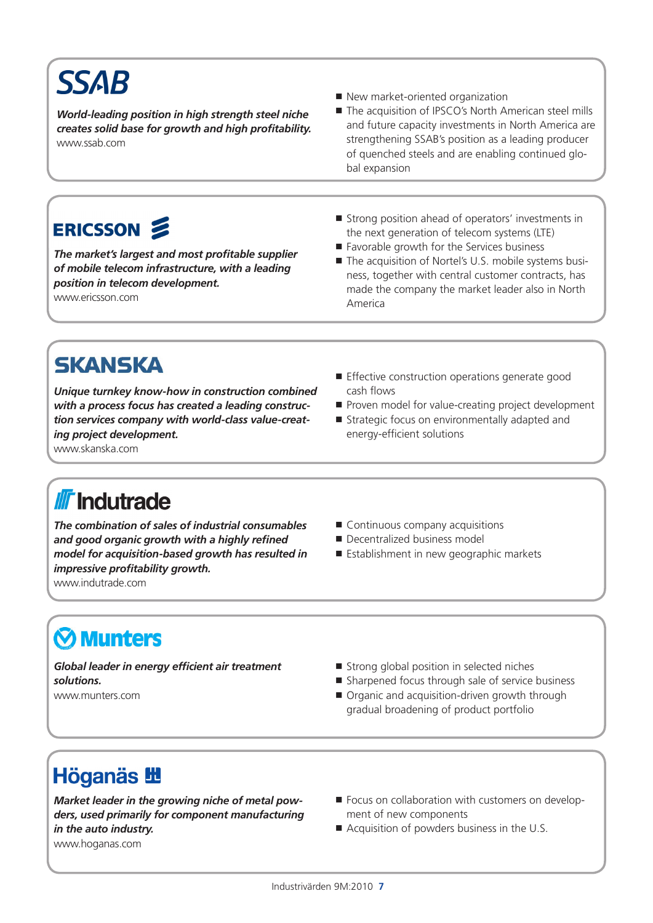# **SSAB**

*World-leading position in high strength steel niche creates solid base for growth and high profitability.* www.ssab.com

- New market-oriented organization
- The acquisition of IPSCO's North American steel mills and future capacity investments in North America are strengthening SSAB's position as a leading producer of quenched steels and are enabling continued global expansion

## ERICSSON 2

*The market's largest and most profitable supplier of mobile telecom infrastructure, with a leading position in telecom development.*  www.ericsson.com

- Strong position ahead of operators' investments in the next generation of telecom systems (LTE)
- Favorable growth for the Services business
- The acquisition of Nortel's U.S. mobile systems business, together with central customer contracts, has made the company the market leader also in North America

## **SKANSKA**

*Unique turnkey know-how in construction combined with a process focus has created a leading construction services company with world-class value-creating project development.*

- **Effective construction operations generate good** cash flows
- Proven model for value-creating project development
- Strategic focus on environmentally adapted and energy-efficient solutions

www.skanska.com

## **II** Indutrade

*The combination of sales of industrial consumables and good organic growth with a highly refined model for acquisition-based growth has resulted in impressive profitability growth.*

www.indutrade.com

- Continuous company acquisitions
- **Decentralized business model**
- **Establishment in new geographic markets**

## **Munters**

*Global leader in energy efficient air treatment solutions.* www.munters.com

- Strong global position in selected niches
- Sharpened focus through sale of service business
- Organic and acquisition-driven growth through gradual broadening of product portfolio

## **Höganäs 出**

*Market leader in the growing niche of metal powders, used primarily for component manufacturing in the auto industry.* www.hoganas.com

- Focus on collaboration with customers on development of new components
- Acquisition of powders business in the U.S.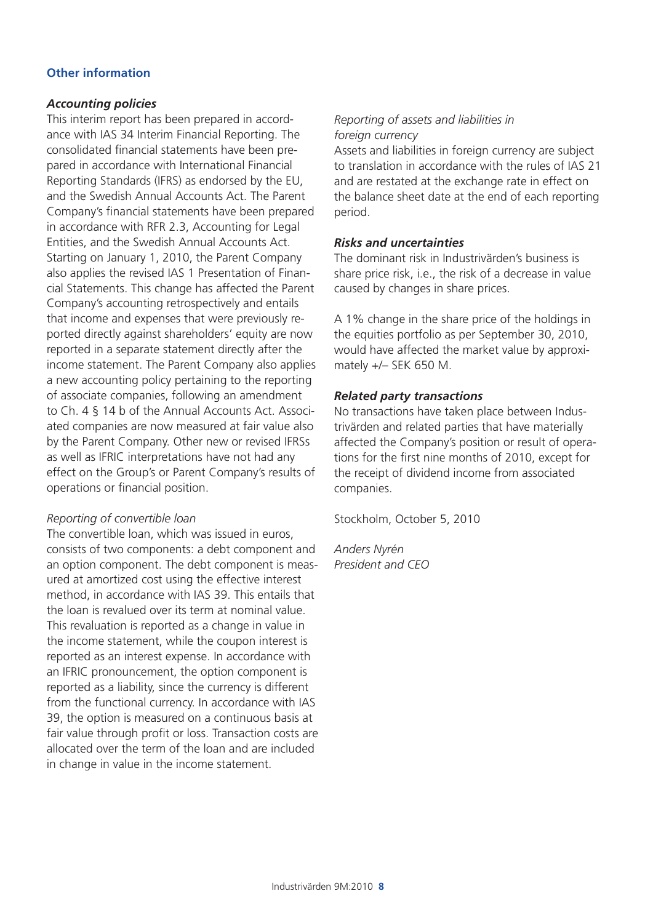### **Other information**

### *Accounting policies*

This interim report has been prepared in accordance with IAS 34 Interim Financial Reporting. The consolidated financial statements have been prepared in accordance with International Financial Reporting Standards (IFRS) as endorsed by the EU, and the Swedish Annual Accounts Act. The Parent Company's financial statements have been prepared in accordance with RFR 2.3, Accounting for Legal Entities, and the Swedish Annual Accounts Act. Starting on January 1, 2010, the Parent Company also applies the revised IAS 1 Presentation of Financial Statements. This change has affected the Parent Company's accounting retrospectively and entails that income and expenses that were previously reported directly against shareholders' equity are now reported in a separate statement directly after the income statement. The Parent Company also applies a new accounting policy pertaining to the reporting of associate companies, following an amendment to Ch. 4 § 14 b of the Annual Accounts Act. Associated companies are now measured at fair value also by the Parent Company. Other new or revised IFRSs as well as IFRIC interpretations have not had any effect on the Group's or Parent Company's results of operations or financial position.

### *Reporting of convertible loan*

The convertible loan, which was issued in euros, consists of two components: a debt component and an option component. The debt component is measured at amortized cost using the effective interest method, in accordance with IAS 39. This entails that the loan is revalued over its term at nominal value. This revaluation is reported as a change in value in the income statement, while the coupon interest is reported as an interest expense. In accordance with an IFRIC pronouncement, the option component is reported as a liability, since the currency is different from the functional currency. In accordance with IAS 39, the option is measured on a continuous basis at fair value through profit or loss. Transaction costs are allocated over the term of the loan and are included in change in value in the income statement.

### *Reporting of assets and liabilities in foreign currency*

Assets and liabilities in foreign currency are subject to translation in accordance with the rules of IAS 21 and are restated at the exchange rate in effect on the balance sheet date at the end of each reporting period.

### *Risks and uncertainties*

The dominant risk in Industrivärden's business is share price risk, i.e., the risk of a decrease in value caused by changes in share prices.

A 1% change in the share price of the holdings in the equities portfolio as per September 30, 2010, would have affected the market value by approximately +/– SEK 650 M.

### *Related party transactions*

No transactions have taken place between Industrivärden and related parties that have materially affected the Company's position or result of operations for the first nine months of 2010, except for the receipt of dividend income from associated companies.

Stockholm, October 5, 2010

*Anders Nyrén President and CEO*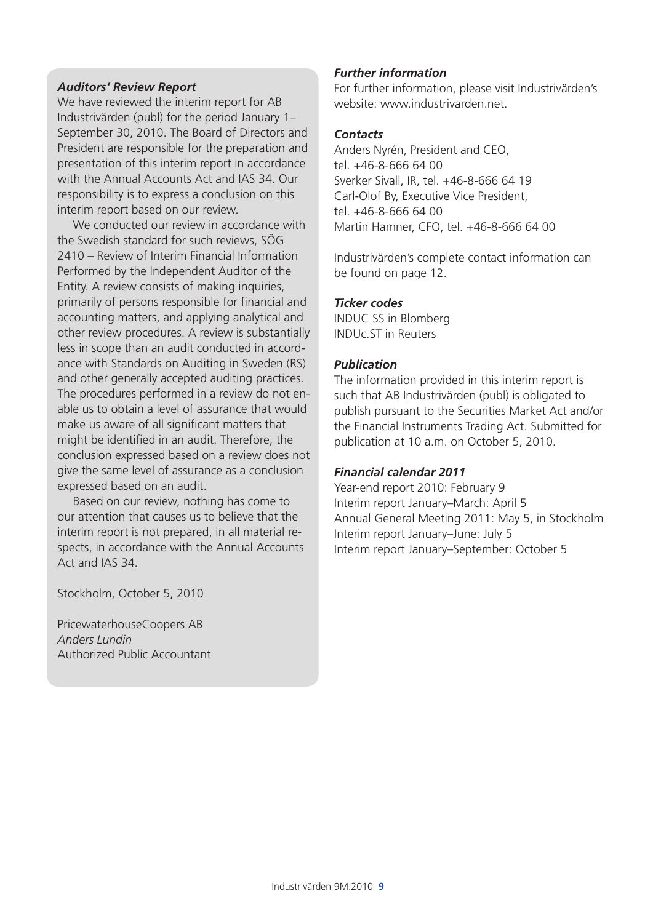### *Auditors' Review Report*

We have reviewed the interim report for AB Industrivärden (publ) for the period January 1– September 30, 2010. The Board of Directors and President are responsible for the preparation and presentation of this interim report in accordance with the Annual Accounts Act and IAS 34. Our responsibility is to express a conclusion on this interim report based on our review.

We conducted our review in accordance with the Swedish standard for such reviews, SÖG 2410 – Review of Interim Financial Information Performed by the Independent Auditor of the Entity. A review consists of making inquiries, primarily of persons responsible for financial and accounting matters, and applying analytical and other review procedures. A review is substantially less in scope than an audit conducted in accordance with Standards on Auditing in Sweden (RS) and other generally accepted auditing practices. The procedures performed in a review do not enable us to obtain a level of assurance that would make us aware of all significant matters that might be identified in an audit. Therefore, the conclusion expressed based on a review does not give the same level of assurance as a conclusion expressed based on an audit.

Based on our review, nothing has come to our attention that causes us to believe that the interim report is not prepared, in all material respects, in accordance with the Annual Accounts Act and IAS 34.

Stockholm, October 5, 2010

PricewaterhouseCoopers AB *Anders Lundin* Authorized Public Accountant

### *Further information*

For further information, please visit Industrivärden's website: www.industrivarden.net.

### *Contacts*

Anders Nyrén, President and CEO, tel. +46-8-666 64 00 Sverker Sivall, IR, tel. +46-8-666 64 19 Carl-Olof By, Executive Vice President, tel. +46-8-666 64 00 Martin Hamner, CFO, tel. +46-8-666 64 00

Industrivärden's complete contact information can be found on page 12.

### *Ticker codes*

INDUC SS in Blomberg INDUc.ST in Reuters

### *Publication*

The information provided in this interim report is such that AB Industrivärden (publ) is obligated to publish pursuant to the Securities Market Act and/or the Financial Instruments Trading Act. Submitted for publication at 10 a.m. on October 5, 2010.

### *Financial calendar 2011*

Year-end report 2010: February 9 Interim report January–March: April 5 Annual General Meeting 2011: May 5, in Stockholm Interim report January–June: July 5 Interim report January–September: October 5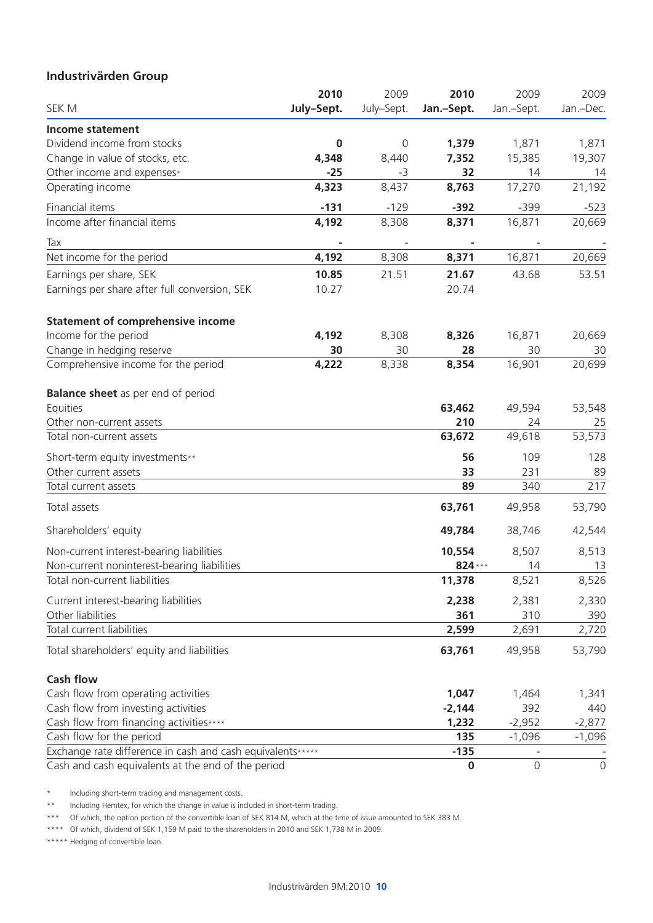### **Industrivärden Group**

|                                                            | 2010       | 2009        | 2010       | 2009         | 2009         |
|------------------------------------------------------------|------------|-------------|------------|--------------|--------------|
| SEK M                                                      | July-Sept. | July-Sept.  | Jan.-Sept. | Jan.-Sept.   | Jan.-Dec.    |
| <b>Income statement</b>                                    |            |             |            |              |              |
| Dividend income from stocks                                | $\pmb{0}$  | $\mathbf 0$ | 1,379      | 1,871        | 1,871        |
| Change in value of stocks, etc.                            | 4,348      | 8,440       | 7,352      | 15,385       | 19,307       |
| Other income and expenses*                                 | $-25$      | -3          | 32         | 14           | 14           |
| Operating income                                           | 4,323      | 8,437       | 8,763      | 17,270       | 21,192       |
| Financial items                                            | $-131$     | $-129$      | $-392$     | $-399$       | $-523$       |
| Income after financial items                               | 4,192      | 8,308       | 8,371      | 16,871       | 20,669       |
| Tax                                                        |            |             |            |              |              |
| Net income for the period                                  | 4,192      | 8,308       | 8,371      | 16,871       | 20,669       |
| Earnings per share, SEK                                    | 10.85      | 21.51       | 21.67      | 43.68        | 53.51        |
| Earnings per share after full conversion, SEK              | 10.27      |             | 20.74      |              |              |
| <b>Statement of comprehensive income</b>                   |            |             |            |              |              |
| Income for the period                                      | 4,192      | 8,308       | 8,326      | 16,871       | 20,669       |
| Change in hedging reserve                                  | 30         | 30          | 28         | 30           | 30           |
| Comprehensive income for the period                        | 4,222      | 8,338       | 8,354      | 16,901       | 20,699       |
| <b>Balance sheet</b> as per end of period                  |            |             |            |              |              |
| Equities                                                   |            |             | 63,462     | 49,594       | 53,548       |
| Other non-current assets                                   |            |             | 210        | 24           | 25           |
| Total non-current assets                                   |            |             | 63,672     | 49,618       | 53,573       |
| Short-term equity investments**                            |            |             | 56         | 109          | 128          |
| Other current assets                                       |            |             | 33         | 231          | 89           |
| Total current assets                                       |            |             | 89         | 340          | 217          |
| Total assets                                               |            |             | 63,761     | 49,958       | 53,790       |
| Shareholders' equity                                       |            |             | 49,784     | 38,746       | 42,544       |
| Non-current interest-bearing liabilities                   |            |             | 10,554     | 8,507        | 8,513        |
| Non-current noninterest-bearing liabilities                |            |             | 824 ***    | 14           | 13           |
| Total non-current liabilities                              |            |             | 11,378     | 8,521        | 8,526        |
| Current interest-bearing liabilities                       |            |             | 2,238      | 2,381        | 2,330        |
| Other liabilities                                          |            |             | 361        | 310          | 390          |
| Total current liabilities                                  |            |             | 2,599      | 2,691        | 2,720        |
| Total shareholders' equity and liabilities                 |            |             | 63,761     | 49,958       | 53,790       |
| <b>Cash flow</b>                                           |            |             |            |              |              |
| Cash flow from operating activities                        |            |             | 1,047      | 1,464        | 1,341        |
| Cash flow from investing activities                        |            |             | $-2,144$   | 392          | 440          |
| Cash flow from financing activities****                    |            |             | 1,232      | $-2,952$     | $-2,877$     |
| Cash flow for the period                                   |            |             | 135        | $-1,096$     | $-1,096$     |
| Exchange rate difference in cash and cash equivalents***** |            |             | $-135$     |              |              |
| Cash and cash equivalents at the end of the period         |            |             | $\bf{0}$   | $\mathsf{O}$ | $\mathsf{O}$ |

\* Including short-term trading and management costs.

\*\* Including Hemtex, for which the change in value is included in short-term trading.

\*\*\* Of which, the option portion of the convertible loan of SEK 814 M, which at the time of issue amounted to SEK 383 M.

\*\*\*\* Of which, dividend of SEK 1,159 M paid to the shareholders in 2010 and SEK 1,738 M in 2009.

\*\*\*\*\* Hedging of convertible loan.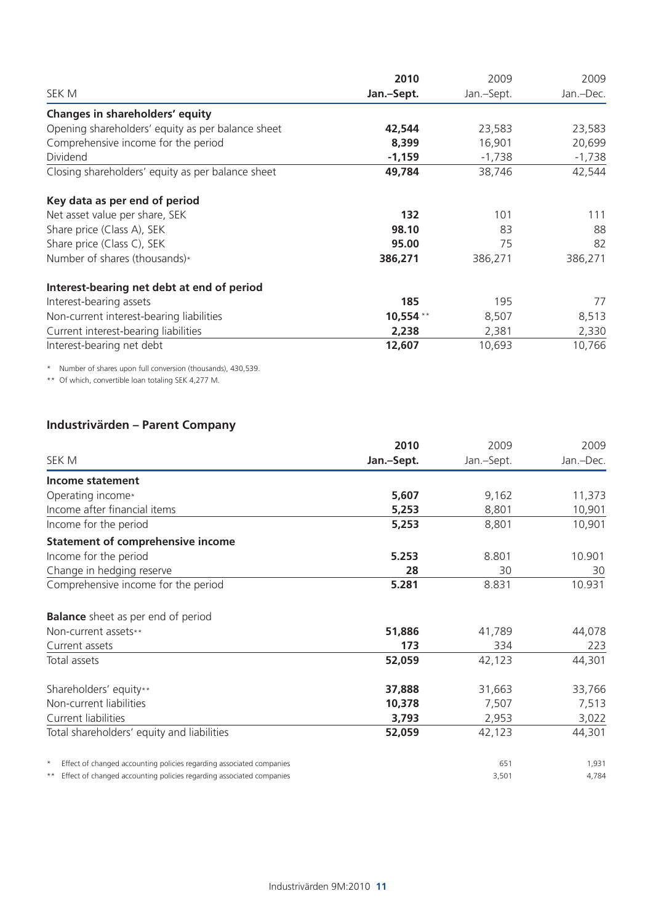|                                                   | 2010       | 2009       | 2009      |  |
|---------------------------------------------------|------------|------------|-----------|--|
| SEK M                                             | Jan.-Sept. | Jan.-Sept. | Jan.-Dec. |  |
| Changes in shareholders' equity                   |            |            |           |  |
| Opening shareholders' equity as per balance sheet | 42,544     | 23,583     | 23,583    |  |
| Comprehensive income for the period               | 8,399      | 16,901     | 20,699    |  |
| Dividend                                          | $-1,159$   | $-1,738$   | $-1,738$  |  |
| Closing shareholders' equity as per balance sheet | 49,784     | 38,746     | 42,544    |  |
| Key data as per end of period                     |            |            |           |  |
| Net asset value per share, SEK                    | 132        | 101        | 111       |  |
| Share price (Class A), SEK                        | 98.10      | 83         | 88        |  |
| Share price (Class C), SEK                        | 95.00      | 75         | 82        |  |
| Number of shares (thousands)*                     | 386,271    | 386,271    | 386,271   |  |
| Interest-bearing net debt at end of period        |            |            |           |  |
| Interest-bearing assets                           | 185        | 195        | 77        |  |
| Non-current interest-bearing liabilities          | 10,554 **  | 8,507      | 8,513     |  |
| Current interest-bearing liabilities              | 2,238      | 2,381      | 2,330     |  |
| Interest-bearing net debt                         | 12,607     | 10,693     | 10,766    |  |

\* Number of shares upon full conversion (thousands), 430,539.

\*\* Of which, convertible loan totaling SEK 4,277 M.

### **Industrivärden – Parent Company**

|                                                                                 | 2010       | 2009       | 2009      |
|---------------------------------------------------------------------------------|------------|------------|-----------|
| SEK M                                                                           | Jan.-Sept. | Jan.-Sept. | Jan.-Dec. |
| Income statement                                                                |            |            |           |
| Operating income*                                                               | 5,607      | 9,162      | 11,373    |
| Income after financial items                                                    | 5,253      | 8,801      | 10,901    |
| Income for the period                                                           | 5,253      | 8,801      | 10,901    |
| <b>Statement of comprehensive income</b>                                        |            |            |           |
| Income for the period                                                           | 5.253      | 8.801      | 10.901    |
| Change in hedging reserve                                                       | 28         | 30         | 30        |
| Comprehensive income for the period                                             | 5.281      | 8.831      | 10.931    |
| <b>Balance</b> sheet as per end of period                                       |            |            |           |
| Non-current assets**                                                            | 51,886     | 41,789     | 44,078    |
| Current assets                                                                  | 173        | 334        | 223       |
| Total assets                                                                    | 52,059     | 42,123     | 44,301    |
| Shareholders' equity**                                                          | 37,888     | 31,663     | 33,766    |
| Non-current liabilities                                                         | 10,378     | 7,507      | 7,513     |
| Current liabilities                                                             | 3,793      | 2,953      | 3,022     |
| Total shareholders' equity and liabilities                                      | 52,059     | 42,123     | 44,301    |
| Effect of changed accounting policies regarding associated companies<br>$\star$ |            | 651        | 1,931     |
| Effect of changed accounting policies regarding associated companies            |            | 3,501      | 4,784     |